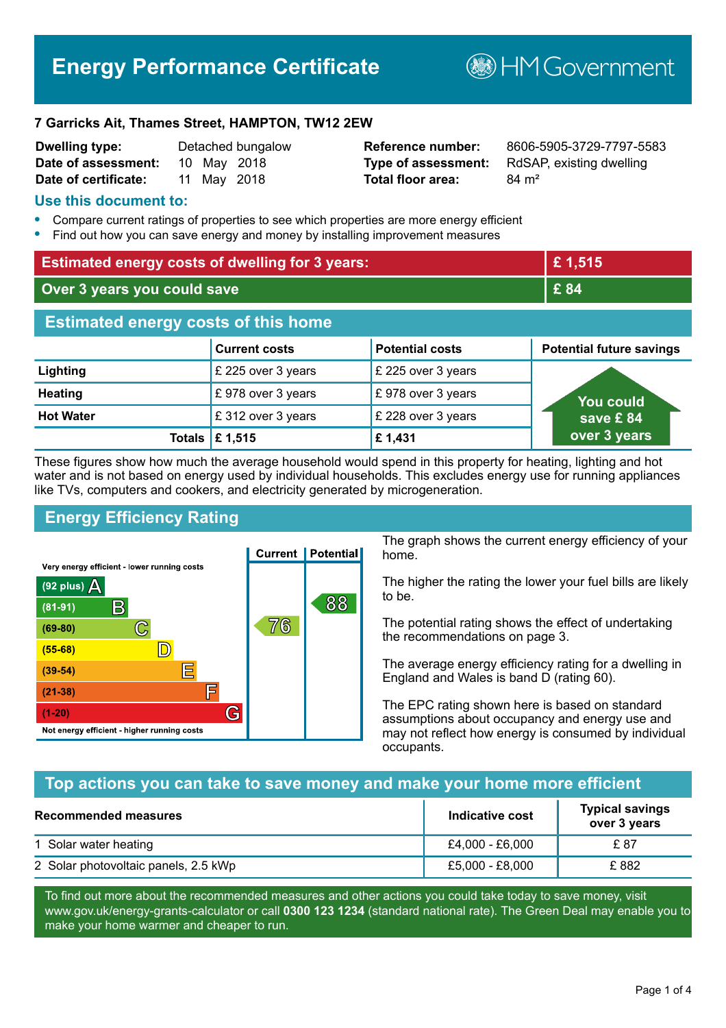# **Energy Performance Certificate**

**B**HM Government

#### **7 Garricks Ait, Thames Street, HAMPTON, TW12 2EW**

| <b>Dwelling type:</b> |  | Detached bungalov |
|-----------------------|--|-------------------|
| Date of assessment:   |  | 10 May 2018       |
| Date of certificate:  |  | 11 May 2018       |

# **Total floor area:** 84 m<sup>2</sup>

**Reference number:** 8606-5905-3729-7797-5583 **Type of assessment:** RdSAP, existing dwelling

# **Use this document to:**

- **•** Compare current ratings of properties to see which properties are more energy efficient
- **•** Find out how you can save energy and money by installing improvement measures

| <b>Estimated energy costs of dwelling for 3 years:</b> |                      | £1,515                 |                                 |
|--------------------------------------------------------|----------------------|------------------------|---------------------------------|
| Over 3 years you could save                            |                      | £ 84                   |                                 |
| <b>Estimated energy costs of this home</b>             |                      |                        |                                 |
|                                                        | <b>Current costs</b> | <b>Potential costs</b> | <b>Potential future savings</b> |
| Lighting                                               | £ 225 over 3 years   | £ 225 over 3 years     |                                 |
| <b>Heating</b>                                         | £978 over 3 years    | £978 over 3 years      | <b>You could</b>                |
| <b>Hot Water</b>                                       | £312 over 3 years    | £ 228 over 3 years     | save £84                        |
| Totals                                                 | £1,515               | £1,431                 | over 3 years                    |

These figures show how much the average household would spend in this property for heating, lighting and hot water and is not based on energy used by individual households. This excludes energy use for running appliances like TVs, computers and cookers, and electricity generated by microgeneration.

# **Energy Efficiency Rating**



The graph shows the current energy efficiency of your home.

The higher the rating the lower your fuel bills are likely to be.

The potential rating shows the effect of undertaking the recommendations on page 3.

The average energy efficiency rating for a dwelling in England and Wales is band D (rating 60).

The EPC rating shown here is based on standard assumptions about occupancy and energy use and may not reflect how energy is consumed by individual occupants.

# **Top actions you can take to save money and make your home more efficient**

| Recommended measures                 | Indicative cost | <b>Typical savings</b><br>over 3 years |
|--------------------------------------|-----------------|----------------------------------------|
| 1 Solar water heating                | £4,000 - £6,000 | £ 87                                   |
| 2 Solar photovoltaic panels, 2.5 kWp | £5,000 - £8,000 | £882                                   |

To find out more about the recommended measures and other actions you could take today to save money, visit www.gov.uk/energy-grants-calculator or call **0300 123 1234** (standard national rate). The Green Deal may enable you to make your home warmer and cheaper to run.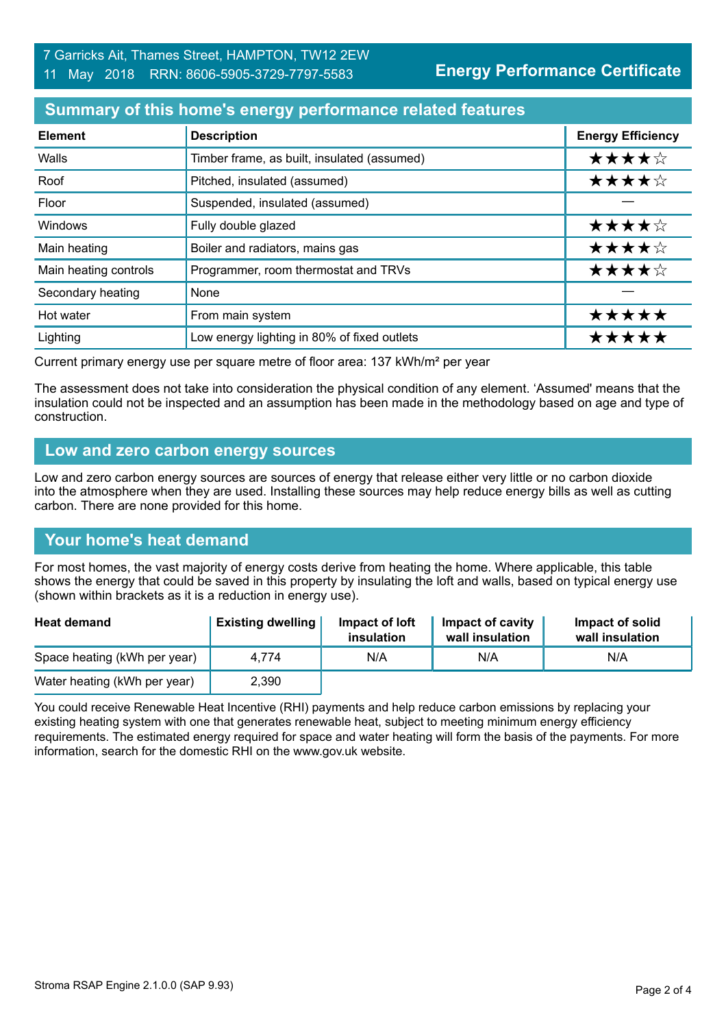# **Summary of this home's energy performance related features**

| <b>Element</b>        | <b>Description</b>                          | <b>Energy Efficiency</b> |
|-----------------------|---------------------------------------------|--------------------------|
| Walls                 | Timber frame, as built, insulated (assumed) | ★★★★☆                    |
| Roof                  | Pitched, insulated (assumed)                | ★★★★☆                    |
| Floor                 | Suspended, insulated (assumed)              |                          |
| Windows               | Fully double glazed                         | ★★★★☆                    |
| Main heating          | Boiler and radiators, mains gas             | ★★★★☆                    |
| Main heating controls | Programmer, room thermostat and TRVs        | ★★★★☆                    |
| Secondary heating     | None                                        |                          |
| Hot water             | From main system                            | *****                    |
| Lighting              | Low energy lighting in 80% of fixed outlets | ★★★                      |

Current primary energy use per square metre of floor area: 137 kWh/m² per year

The assessment does not take into consideration the physical condition of any element. 'Assumed' means that the insulation could not be inspected and an assumption has been made in the methodology based on age and type of construction.

# **Low and zero carbon energy sources**

Low and zero carbon energy sources are sources of energy that release either very little or no carbon dioxide into the atmosphere when they are used. Installing these sources may help reduce energy bills as well as cutting carbon. There are none provided for this home.

# **Your home's heat demand**

For most homes, the vast majority of energy costs derive from heating the home. Where applicable, this table shows the energy that could be saved in this property by insulating the loft and walls, based on typical energy use (shown within brackets as it is a reduction in energy use).

| <b>Heat demand</b>           | <b>Existing dwelling</b> | Impact of loft<br>insulation | <b>Impact of cavity</b><br>wall insulation | Impact of solid<br>wall insulation |
|------------------------------|--------------------------|------------------------------|--------------------------------------------|------------------------------------|
| Space heating (kWh per year) | 4.774                    | N/A                          | N/A                                        | N/A                                |
| Water heating (kWh per year) | 2,390                    |                              |                                            |                                    |

You could receive Renewable Heat Incentive (RHI) payments and help reduce carbon emissions by replacing your existing heating system with one that generates renewable heat, subject to meeting minimum energy efficiency requirements. The estimated energy required for space and water heating will form the basis of the payments. For more information, search for the domestic RHI on the www.gov.uk website.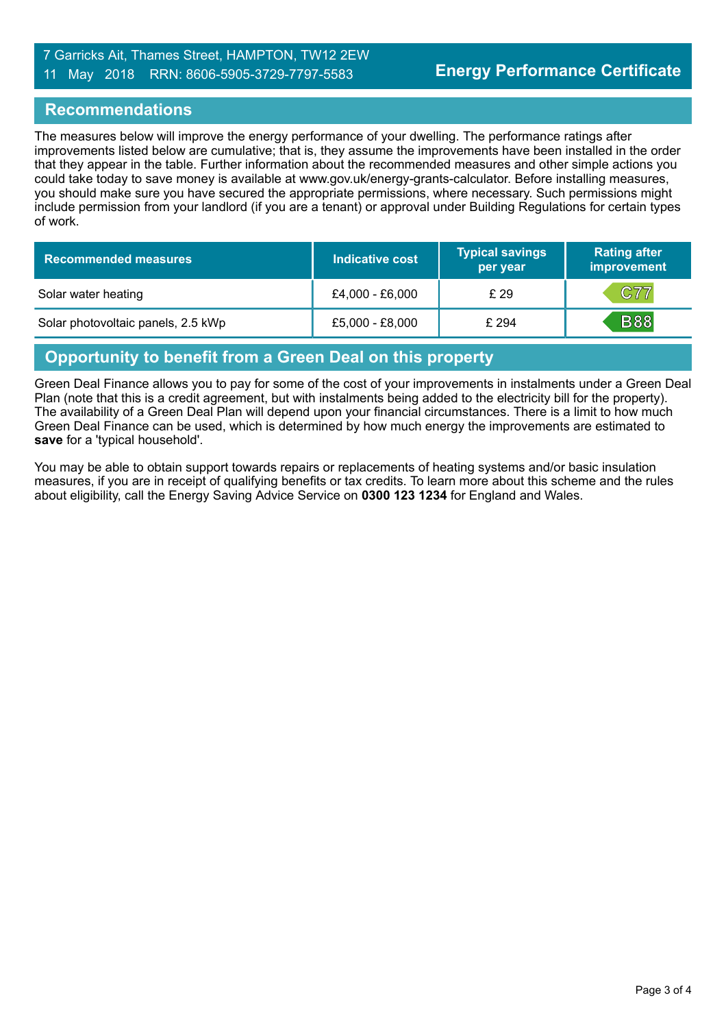# 7 Garricks Ait, Thames Street, HAMPTON, TW12 2EW 11 May 2018 RRN: 8606-5905-3729-7797-5583

# **Recommendations**

The measures below will improve the energy performance of your dwelling. The performance ratings after improvements listed below are cumulative; that is, they assume the improvements have been installed in the order that they appear in the table. Further information about the recommended measures and other simple actions you could take today to save money is available at www.gov.uk/energy-grants-calculator. Before installing measures, you should make sure you have secured the appropriate permissions, where necessary. Such permissions might include permission from your landlord (if you are a tenant) or approval under Building Regulations for certain types of work.

| <b>Recommended measures</b>        | <b>Indicative cost</b> | <b>Typical savings</b><br>per year | <b>Rating after</b><br>improvement |
|------------------------------------|------------------------|------------------------------------|------------------------------------|
| Solar water heating                | £4,000 - £6,000        | £ 29                               | C77                                |
| Solar photovoltaic panels, 2.5 kWp | £5,000 - £8,000        | £ 294                              | <b>B88</b>                         |

# **Opportunity to benefit from a Green Deal on this property**

Green Deal Finance allows you to pay for some of the cost of your improvements in instalments under a Green Deal Plan (note that this is a credit agreement, but with instalments being added to the electricity bill for the property). The availability of a Green Deal Plan will depend upon your financial circumstances. There is a limit to how much Green Deal Finance can be used, which is determined by how much energy the improvements are estimated to **save** for a 'typical household'.

You may be able to obtain support towards repairs or replacements of heating systems and/or basic insulation measures, if you are in receipt of qualifying benefits or tax credits. To learn more about this scheme and the rules about eligibility, call the Energy Saving Advice Service on **0300 123 1234** for England and Wales.